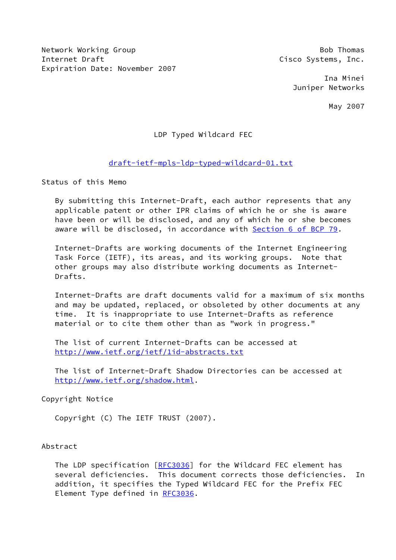Network Working Group Bob Thomas Internet Draft **Cisco Systems**, Inc. Expiration Date: November 2007

 Ina Minei Juniper Networks

May 2007

## LDP Typed Wildcard FEC

## [draft-ietf-mpls-ldp-typed-wildcard-01.txt](https://datatracker.ietf.org/doc/pdf/draft-ietf-mpls-ldp-typed-wildcard-01.txt)

Status of this Memo

 By submitting this Internet-Draft, each author represents that any applicable patent or other IPR claims of which he or she is aware have been or will be disclosed, and any of which he or she becomes aware will be disclosed, in accordance with Section [6 of BCP 79.](https://datatracker.ietf.org/doc/pdf/bcp79#section-6)

 Internet-Drafts are working documents of the Internet Engineering Task Force (IETF), its areas, and its working groups. Note that other groups may also distribute working documents as Internet- Drafts.

 Internet-Drafts are draft documents valid for a maximum of six months and may be updated, replaced, or obsoleted by other documents at any time. It is inappropriate to use Internet-Drafts as reference material or to cite them other than as "work in progress."

 The list of current Internet-Drafts can be accessed at <http://www.ietf.org/ietf/1id-abstracts.txt>

 The list of Internet-Draft Shadow Directories can be accessed at <http://www.ietf.org/shadow.html>.

### Copyright Notice

Copyright (C) The IETF TRUST (2007).

#### Abstract

 The LDP specification [[RFC3036](https://datatracker.ietf.org/doc/pdf/rfc3036)] for the Wildcard FEC element has several deficiencies. This document corrects those deficiencies. In addition, it specifies the Typed Wildcard FEC for the Prefix FEC Element Type defined in [RFC3036](https://datatracker.ietf.org/doc/pdf/rfc3036).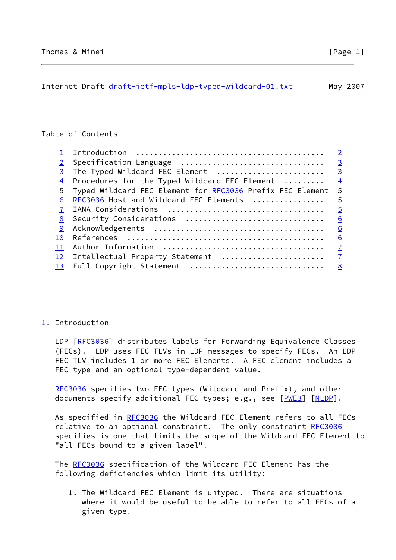## <span id="page-1-1"></span>Table of Contents

|       |                                                           | $\overline{2}$ |
|-------|-----------------------------------------------------------|----------------|
|       | Specification Language                                    | $\overline{3}$ |
|       | The Typed Wildcard FEC Element                            | $\overline{3}$ |
|       | Procedures for the Typed Wildcard FEC Element             | $\frac{4}{1}$  |
| $5 -$ | Typed Wildcard FEC Element for RFC3036 Prefix FEC Element | 5              |
| 6     | RFC3036 Host and Wildcard FEC Elements                    | $\frac{5}{2}$  |
|       |                                                           | $\overline{5}$ |
| 8     | Security Considerations                                   | 6              |
| 9     |                                                           | 6              |
| 10    |                                                           | 6              |
|       |                                                           | $\overline{1}$ |
| 12    | Intellectual Property Statement                           | $\overline{1}$ |
| 13    | Full Copyright Statement                                  | 8              |
|       |                                                           |                |

# <span id="page-1-0"></span>[1](#page-1-0). Introduction

 LDP [\[RFC3036](https://datatracker.ietf.org/doc/pdf/rfc3036)] distributes labels for Forwarding Equivalence Classes (FECs). LDP uses FEC TLVs in LDP messages to specify FECs. An LDP FEC TLV includes 1 or more FEC Elements. A FEC element includes a FEC type and an optional type-dependent value.

[RFC3036](https://datatracker.ietf.org/doc/pdf/rfc3036) specifies two FEC types (Wildcard and Prefix), and other documents specify additional FEC types; e.g., see [[PWE3\]](#page-6-3) [\[MLDP](#page-6-4)].

As specified in [RFC3036](https://datatracker.ietf.org/doc/pdf/rfc3036) the Wildcard FEC Element refers to all FECs relative to an optional constraint. The only constraint [RFC3036](https://datatracker.ietf.org/doc/pdf/rfc3036) specifies is one that limits the scope of the Wildcard FEC Element to "all FECs bound to a given label".

 The [RFC3036](https://datatracker.ietf.org/doc/pdf/rfc3036) specification of the Wildcard FEC Element has the following deficiencies which limit its utility:

 1. The Wildcard FEC Element is untyped. There are situations where it would be useful to be able to refer to all FECs of a given type.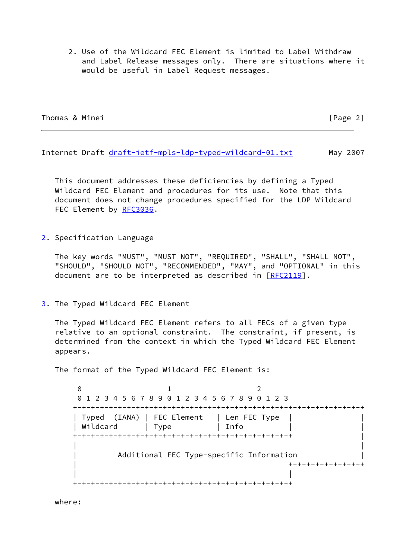2. Use of the Wildcard FEC Element is limited to Label Withdraw and Label Release messages only. There are situations where it would be useful in Label Request messages.

Thomas & Minei [Page 2]

<span id="page-2-1"></span>Internet Draft [draft-ietf-mpls-ldp-typed-wildcard-01.txt](https://datatracker.ietf.org/doc/pdf/draft-ietf-mpls-ldp-typed-wildcard-01.txt) May 2007

 This document addresses these deficiencies by defining a Typed Wildcard FEC Element and procedures for its use. Note that this document does not change procedures specified for the LDP Wildcard FEC Element by [RFC3036](https://datatracker.ietf.org/doc/pdf/rfc3036).

<span id="page-2-0"></span>[2](#page-2-0). Specification Language

 The key words "MUST", "MUST NOT", "REQUIRED", "SHALL", "SHALL NOT", "SHOULD", "SHOULD NOT", "RECOMMENDED", "MAY", and "OPTIONAL" in this document are to be interpreted as described in [\[RFC2119](https://datatracker.ietf.org/doc/pdf/rfc2119)].

<span id="page-2-2"></span>[3](#page-2-2). The Typed Wildcard FEC Element

 The Typed Wildcard FEC Element refers to all FECs of a given type relative to an optional constraint. The constraint, if present, is determined from the context in which the Typed Wildcard FEC Element appears.

The format of the Typed Wildcard FEC Element is:

 $\begin{array}{ccc} \circ & & 1 & \circ \end{array}$  0 1 2 3 4 5 6 7 8 9 0 1 2 3 4 5 6 7 8 9 0 1 2 3 +-+-+-+-+-+-+-+-+-+-+-+-+-+-+-+-+-+-+-+-+-+-+-+-+-+-+-+-+-+-+-+-+ | Typed (IANA) | FEC Element | Len FEC Type | | | Wildcard | Type | Info | +-+-+-+-+-+-+-+-+-+-+-+-+-+-+-+-+-+-+-+-+-+-+-+-+ | | | Additional FEC Type-specific Information | +-+-+-+-+-+-+-+-+ | | +-+-+-+-+-+-+-+-+-+-+-+-+-+-+-+-+-+-+-+-+-+-+-+-+

where: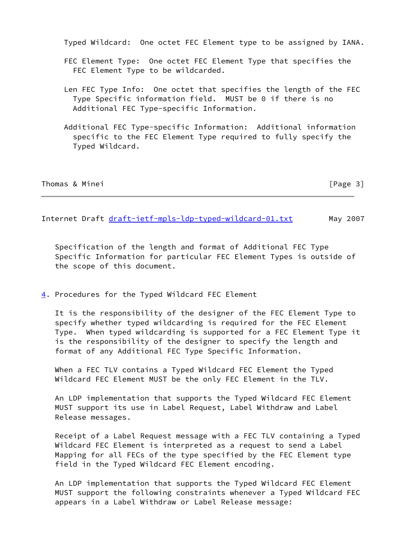Typed Wildcard: One octet FEC Element type to be assigned by IANA.

- FEC Element Type: One octet FEC Element Type that specifies the FEC Element Type to be wildcarded.
- Len FEC Type Info: One octet that specifies the length of the FEC Type Specific information field. MUST be 0 if there is no Additional FEC Type-specific Information.
- Additional FEC Type-specific Information: Additional information specific to the FEC Element Type required to fully specify the Typed Wildcard.

|  | Thomas & Minei |  |  |  |
|--|----------------|--|--|--|
|--|----------------|--|--|--|

 $[Page 3]$ 

<span id="page-3-1"></span>Internet Draft [draft-ietf-mpls-ldp-typed-wildcard-01.txt](https://datatracker.ietf.org/doc/pdf/draft-ietf-mpls-ldp-typed-wildcard-01.txt) May 2007

 Specification of the length and format of Additional FEC Type Specific Information for particular FEC Element Types is outside of the scope of this document.

<span id="page-3-0"></span>[4](#page-3-0). Procedures for the Typed Wildcard FEC Element

 It is the responsibility of the designer of the FEC Element Type to specify whether typed wildcarding is required for the FEC Element Type. When typed wildcarding is supported for a FEC Element Type it is the responsibility of the designer to specify the length and format of any Additional FEC Type Specific Information.

 When a FEC TLV contains a Typed Wildcard FEC Element the Typed Wildcard FEC Element MUST be the only FEC Element in the TLV.

 An LDP implementation that supports the Typed Wildcard FEC Element MUST support its use in Label Request, Label Withdraw and Label Release messages.

 Receipt of a Label Request message with a FEC TLV containing a Typed Wildcard FEC Element is interpreted as a request to send a Label Mapping for all FECs of the type specified by the FEC Element type field in the Typed Wildcard FEC Element encoding.

 An LDP implementation that supports the Typed Wildcard FEC Element MUST support the following constraints whenever a Typed Wildcard FEC appears in a Label Withdraw or Label Release message: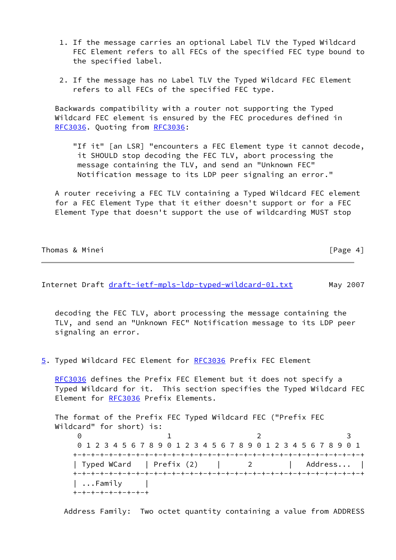- 1. If the message carries an optional Label TLV the Typed Wildcard FEC Element refers to all FECs of the specified FEC type bound to the specified label.
- 2. If the message has no Label TLV the Typed Wildcard FEC Element refers to all FECs of the specified FEC type.

 Backwards compatibility with a router not supporting the Typed Wildcard FEC element is ensured by the FEC procedures defined in [RFC3036](https://datatracker.ietf.org/doc/pdf/rfc3036). Quoting from [RFC3036](https://datatracker.ietf.org/doc/pdf/rfc3036):

"If it" [an LSR] "encounters a FEC Element type it cannot decode, it SHOULD stop decoding the FEC TLV, abort processing the message containing the TLV, and send an "Unknown FEC" Notification message to its LDP peer signaling an error."

 A router receiving a FEC TLV containing a Typed Wildcard FEC element for a FEC Element Type that it either doesn't support or for a FEC Element Type that doesn't support the use of wildcarding MUST stop

| Thomas & Minei |  | [Page 4] |  |
|----------------|--|----------|--|
|                |  |          |  |

<span id="page-4-0"></span>Internet Draft [draft-ietf-mpls-ldp-typed-wildcard-01.txt](https://datatracker.ietf.org/doc/pdf/draft-ietf-mpls-ldp-typed-wildcard-01.txt) May 2007

 decoding the FEC TLV, abort processing the message containing the TLV, and send an "Unknown FEC" Notification message to its LDP peer signaling an error.

<span id="page-4-1"></span>[5](#page-4-1). Typed Wildcard FEC Element for [RFC3036](https://datatracker.ietf.org/doc/pdf/rfc3036) Prefix FEC Element

 [RFC3036](https://datatracker.ietf.org/doc/pdf/rfc3036) defines the Prefix FEC Element but it does not specify a Typed Wildcard for it. This section specifies the Typed Wildcard FEC Element for [RFC3036](https://datatracker.ietf.org/doc/pdf/rfc3036) Prefix Elements.

```
 The format of the Prefix FEC Typed Wildcard FEC ("Prefix FEC
   Wildcard" for short) is:
0 1 2 3
       0 1 2 3 4 5 6 7 8 9 0 1 2 3 4 5 6 7 8 9 0 1 2 3 4 5 6 7 8 9 0 1
      +-+-+-+-+-+-+-+-+-+-+-+-+-+-+-+-+-+-+-+-+-+-+-+-+-+-+-+-+-+-+-+-+
     | Typed WCard | Prefix (2) | 2 | Address... |
      +-+-+-+-+-+-+-+-+-+-+-+-+-+-+-+-+-+-+-+-+-+-+-+-+-+-+-+-+-+-+-+-+
      | ...Family |
      +-+-+-+-+-+-+-+-+
```
Address Family: Two octet quantity containing a value from ADDRESS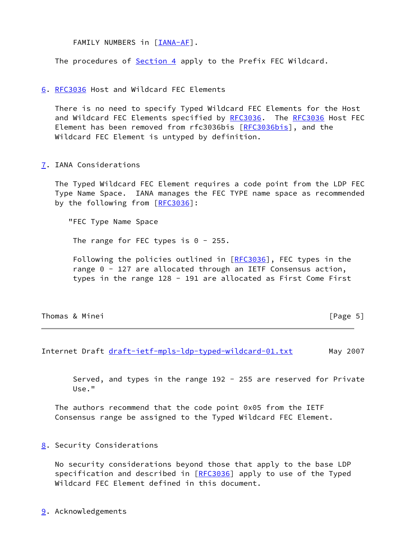FAMILY NUMBERS in [[IANA-AF](#page-6-5)].

The procedures of [Section 4](#page-3-0) apply to the Prefix FEC Wildcard.

<span id="page-5-0"></span>[6](#page-5-0). [RFC3036](https://datatracker.ietf.org/doc/pdf/rfc3036) Host and Wildcard FEC Elements

 There is no need to specify Typed Wildcard FEC Elements for the Host and Wildcard FEC Elements specified by [RFC3036](https://datatracker.ietf.org/doc/pdf/rfc3036). The [RFC3036](https://datatracker.ietf.org/doc/pdf/rfc3036) Host FEC Element has been removed from rfc3036bis [\[RFC3036bis\]](#page-6-6), and the Wildcard FEC Element is untyped by definition.

<span id="page-5-1"></span>[7](#page-5-1). IANA Considerations

 The Typed Wildcard FEC Element requires a code point from the LDP FEC Type Name Space. IANA manages the FEC TYPE name space as recommended by the following from [[RFC3036](https://datatracker.ietf.org/doc/pdf/rfc3036)]:

"FEC Type Name Space

The range for FEC types is  $0 - 255$ .

Following the policies outlined in [\[RFC3036](https://datatracker.ietf.org/doc/pdf/rfc3036)], FEC types in the range 0 - 127 are allocated through an IETF Consensus action, types in the range 128 - 191 are allocated as First Come First

| Thomas & Minei | [Page $5$ ] |
|----------------|-------------|
|----------------|-------------|

<span id="page-5-3"></span>Internet Draft [draft-ietf-mpls-ldp-typed-wildcard-01.txt](https://datatracker.ietf.org/doc/pdf/draft-ietf-mpls-ldp-typed-wildcard-01.txt) May 2007

 Served, and types in the range 192 - 255 are reserved for Private Use."

 The authors recommend that the code point 0x05 from the IETF Consensus range be assigned to the Typed Wildcard FEC Element.

<span id="page-5-2"></span>[8](#page-5-2). Security Considerations

 No security considerations beyond those that apply to the base LDP specification and described in [\[RFC3036](https://datatracker.ietf.org/doc/pdf/rfc3036)] apply to use of the Typed Wildcard FEC Element defined in this document.

<span id="page-5-4"></span>[9](#page-5-4). Acknowledgements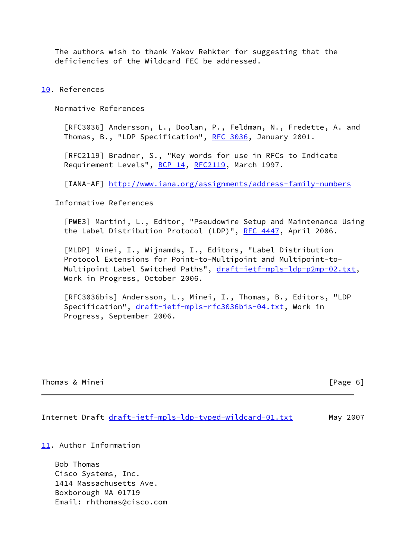The authors wish to thank Yakov Rehkter for suggesting that the deficiencies of the Wildcard FEC be addressed.

<span id="page-6-0"></span>[10.](#page-6-0) References

Normative References

 [RFC3036] Andersson, L., Doolan, P., Feldman, N., Fredette, A. and Thomas, B., "LDP Specification", [RFC 3036,](https://datatracker.ietf.org/doc/pdf/rfc3036) January 2001.

 [RFC2119] Bradner, S., "Key words for use in RFCs to Indicate Requirement Levels", [BCP 14](https://datatracker.ietf.org/doc/pdf/bcp14), [RFC2119](https://datatracker.ietf.org/doc/pdf/rfc2119), March 1997.

<span id="page-6-5"></span>[IANA-AF] <http://www.iana.org/assignments/address-family-numbers>

Informative References

<span id="page-6-3"></span> [PWE3] Martini, L., Editor, "Pseudowire Setup and Maintenance Using the Label Distribution Protocol (LDP)", [RFC 4447](https://datatracker.ietf.org/doc/pdf/rfc4447), April 2006.

<span id="page-6-4"></span> [MLDP] Minei, I., Wijnamds, I., Editors, "Label Distribution Protocol Extensions for Point-to-Multipoint and Multipoint-to Multipoint Label Switched Paths", [draft-ietf-mpls-ldp-p2mp-02.txt,](https://datatracker.ietf.org/doc/pdf/draft-ietf-mpls-ldp-p2mp-02.txt) Work in Progress, October 2006.

<span id="page-6-6"></span> [RFC3036bis] Andersson, L., Minei, I., Thomas, B., Editors, "LDP Specification", [draft-ietf-mpls-rfc3036bis-04.txt,](https://datatracker.ietf.org/doc/pdf/draft-ietf-mpls-rfc3036bis-04.txt) Work in Progress, September 2006.

| Thomas & Minei |  |  |
|----------------|--|--|
|                |  |  |

 $[Page 6]$ 

<span id="page-6-2"></span>Internet Draft [draft-ietf-mpls-ldp-typed-wildcard-01.txt](https://datatracker.ietf.org/doc/pdf/draft-ietf-mpls-ldp-typed-wildcard-01.txt) May 2007

<span id="page-6-1"></span>[11.](#page-6-1) Author Information

 Bob Thomas Cisco Systems, Inc. 1414 Massachusetts Ave. Boxborough MA 01719 Email: rhthomas@cisco.com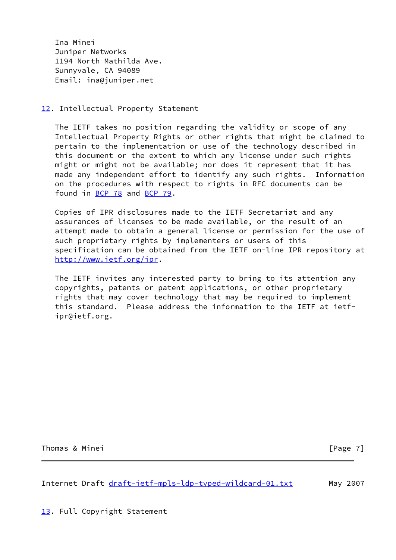Ina Minei Juniper Networks 1194 North Mathilda Ave. Sunnyvale, CA 94089 Email: ina@juniper.net

### <span id="page-7-0"></span>[12.](#page-7-0) Intellectual Property Statement

 The IETF takes no position regarding the validity or scope of any Intellectual Property Rights or other rights that might be claimed to pertain to the implementation or use of the technology described in this document or the extent to which any license under such rights might or might not be available; nor does it represent that it has made any independent effort to identify any such rights. Information on the procedures with respect to rights in RFC documents can be found in [BCP 78](https://datatracker.ietf.org/doc/pdf/bcp78) and [BCP 79](https://datatracker.ietf.org/doc/pdf/bcp79).

 Copies of IPR disclosures made to the IETF Secretariat and any assurances of licenses to be made available, or the result of an attempt made to obtain a general license or permission for the use of such proprietary rights by implementers or users of this specification can be obtained from the IETF on-line IPR repository at <http://www.ietf.org/ipr>.

 The IETF invites any interested party to bring to its attention any copyrights, patents or patent applications, or other proprietary rights that may cover technology that may be required to implement this standard. Please address the information to the IETF at ietf ipr@ietf.org.

Thomas & Minei **Example 20** Thomas & Minei **Example 20** 

<span id="page-7-2"></span>Internet Draft [draft-ietf-mpls-ldp-typed-wildcard-01.txt](https://datatracker.ietf.org/doc/pdf/draft-ietf-mpls-ldp-typed-wildcard-01.txt) May 2007

<span id="page-7-1"></span>[13.](#page-7-1) Full Copyright Statement